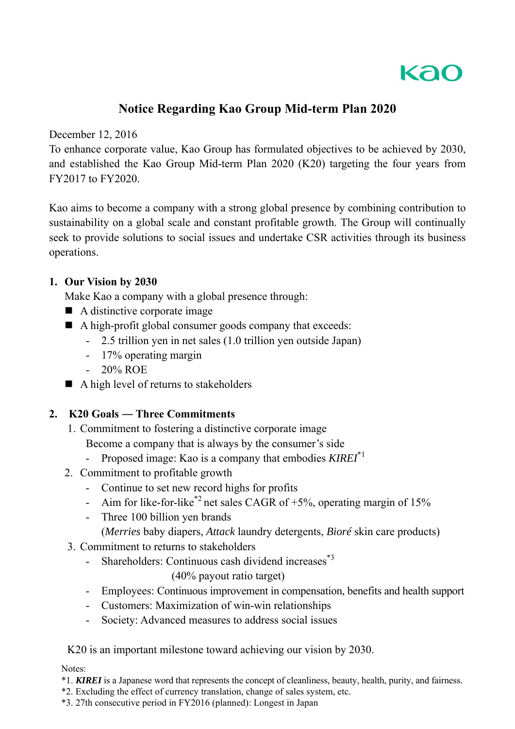

# **Notice Regarding Kao Group Mid-term Plan 2020**

December 12, 2016

To enhance corporate value, Kao Group has formulated objectives to be achieved by 2030, and established the Kao Group Mid-term Plan 2020 (K20) targeting the four years from FY2017 to FY2020.

Kao aims to become a company with a strong global presence by combining contribution to sustainability on a global scale and constant profitable growth. The Group will continually seek to provide solutions to social issues and undertake CSR activities through its business operations.

### **1. Our Vision by 2030**

Make Kao a company with a global presence through:

- $\blacksquare$  A distinctive corporate image
- A high-profit global consumer goods company that exceeds:
	- 2.5 trillion yen in net sales (1.0 trillion yen outside Japan)
	- 17% operating margin
	- 20% ROE
- A high level of returns to stakeholders

## **2. K20 Goals ― Three Commitments**

1. Commitment to fostering a distinctive corporate image

Become a company that is always by the consumer's side

- Proposed image: Kao is a company that embodies *KIREI*\*1
- 2. Commitment to profitable growth
	- Continue to set new record highs for profits
	- Aim for like-for-like<sup>\*2</sup> net sales CAGR of  $+5%$ , operating margin of 15%
	- Three 100 billion yen brands
		- (*Merries* baby diapers, *Attack* laundry detergents, *Bioré* skin care products)
- 3. Commitment to returns to stakeholders
	- Shareholders: Continuous cash dividend increases<sup>\*3</sup>

(40% payout ratio target)

- Employees: Continuous improvement in compensation, benefits and health support
- Customers: Maximization of win-win relationships
- Society: Advanced measures to address social issues

K20 is an important milestone toward achieving our vision by 2030.

Notes:

- \*1. *KIREI* is a Japanese word that represents the concept of cleanliness, beauty, health, purity, and fairness.
- \*2. Excluding the effect of currency translation, change of sales system, etc.

\*3. 27th consecutive period in FY2016 (planned): Longest in Japan